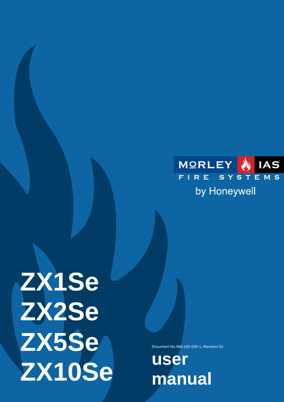

# **ZX1Se ZX2Se ZX5Se ZX10Se**

Document No.996-182-000-1, Revision 01

**user manual**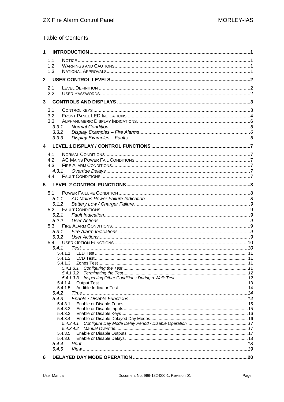# **Table of Contents**

| $\mathbf{1}$ |                    |                        |  |
|--------------|--------------------|------------------------|--|
|              | 1.1<br>1.2         |                        |  |
|              | 1.3                |                        |  |
| $\mathbf{2}$ |                    |                        |  |
|              | 2.1<br>2.2         |                        |  |
| $\mathbf{3}$ |                    |                        |  |
|              | 3.1                |                        |  |
|              | 3.2                |                        |  |
|              | 3.3                |                        |  |
|              | 3.3.1              |                        |  |
|              | 3.3.2<br>3.3.3     |                        |  |
|              |                    |                        |  |
| 4            |                    |                        |  |
|              | 4.1                |                        |  |
|              | 4.2<br>4.3         |                        |  |
|              | 4.3.1              |                        |  |
|              | 4.4                |                        |  |
| 5            |                    |                        |  |
|              |                    |                        |  |
|              | 5.1<br>5.1.1       |                        |  |
|              | 5.1.2              |                        |  |
|              | 5.2                |                        |  |
|              | 5.2.1              |                        |  |
|              | 5.2.2              |                        |  |
|              | 5.3<br>5.3.1       |                        |  |
|              | 5.3.2              |                        |  |
|              | 5.4                |                        |  |
|              | 5.4.1              |                        |  |
|              | 5.4.1.1            |                        |  |
|              | 5.4.1.2            |                        |  |
|              |                    | 5.4.1.3.1              |  |
|              |                    | 5.4.1.3.2              |  |
|              | 5.4.1.4            |                        |  |
|              | 5.4.1.5            |                        |  |
|              | 5.4.2              |                        |  |
|              | 5.4.3              |                        |  |
|              | 5.4.3.1<br>5.4.3.2 |                        |  |
|              | 5.4.3.3            |                        |  |
|              | 5.4.3.4            |                        |  |
|              |                    | 5.4.3.4.1<br>5.4.3.4.2 |  |
|              | 5.4.3.5            |                        |  |
|              | 5.4.3.6            |                        |  |
|              | 5.4.4              |                        |  |
|              | 5.4.5              |                        |  |
| 6            |                    |                        |  |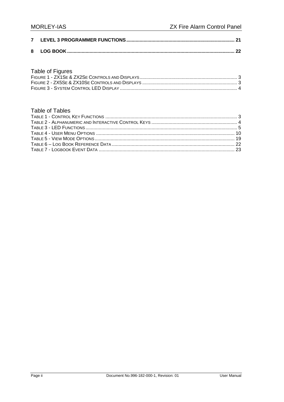#### Table of Figures

#### **Table of Tables**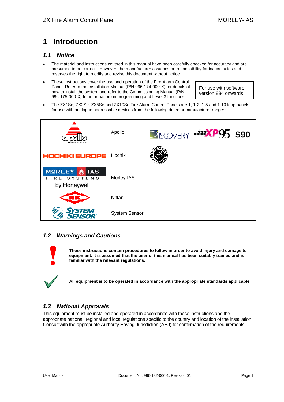# <span id="page-3-0"></span>**1 Introduction**

#### *1.1 Notice*

- The material and instructions covered in this manual have been carefully checked for accuracy and are presumed to be correct. However, the manufacturer assumes no responsibility for inaccuracies and reserves the right to modify and revise this document without notice.
- These instructions cover the use and operation of the Fire Alarm Control Panel. Refer to the Installation Manual (P/N 996-174-000-X) for details of how to install the system and refer to the Commissioning Manual (P/N 996-175-000-X) for information on programming and Level 3 functions.

For use with software version 834 onwards

• The ZX1Se, ZX2Se, ZX5Se and ZX10Se Fire Alarm Control Panels are 1, 1-2, 1-5 and 1-10 loop panels for use with analogue addressable devices from the following detector manufacturer ranges:



#### *1.2 Warnings and Cautions*



**These instructions contain procedures to follow in order to avoid injury and damage to equipment. It is assumed that the user of this manual has been suitably trained and is familiar with the relevant regulations.** 

**All equipment is to be operated in accordance with the appropriate standards applicable** 

## *1.3 National Approvals*

This equipment must be installed and operated in accordance with these instructions and the appropriate national, regional and local regulations specific to the country and location of the installation. Consult with the appropriate Authority Having Jurisdiction (AHJ) for confirmation of the requirements.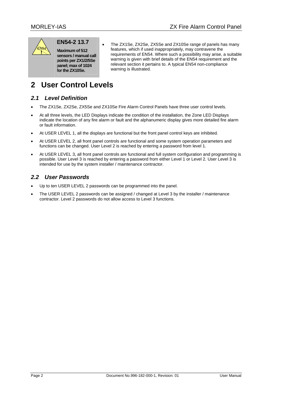<span id="page-4-0"></span>

# **EN54-2 13.7**

**Maximum of 512 sensors / manual call points per ZX1/2/5Se panel; max of 1024 for the ZX10Se.** 

• The ZX1Se, ZX2Se, ZX5Se and ZX10Se range of panels has many features, which if used inappropriately, may contravene the requirements of EN54. Where such a possibility may arise, a suitable warning is given with brief details of the EN54 requirement and the relevant section it pertains to. A typical EN54 non-compliance warning is illustrated.

# **2 User Control Levels**

## *2.1 Level Definition*

- The ZX1Se, ZX2Se, ZX5Se and ZX10Se Fire Alarm Control Panels have three user control levels.
- At all three levels, the LED Displays indicate the condition of the installation, the Zone LED Displays indicate the location of any fire alarm or fault and the alphanumeric display gives more detailed fire alarm or fault information.
- At USER LEVEL 1, all the displays are functional but the front panel control keys are inhibited.
- At USER LEVEL 2, all front panel controls are functional and some system operation parameters and functions can be changed. User Level 2 is reached by entering a password from level 1.
- At USER LEVEL 3, all front panel controls are functional and full system configuration and programming is possible. User Level 3 is reached by entering a password from either Level 1 or Level 2. User Level 3 is intended for use by the system installer / maintenance contractor.

# *2.2 User Passwords*

- Up to ten USER LEVEL 2 passwords can be programmed into the panel.
- The USER LEVEL 2 passwords can be assigned / changed at Level 3 by the installer / maintenance contractor. Level 2 passwords do not allow access to Level 3 functions.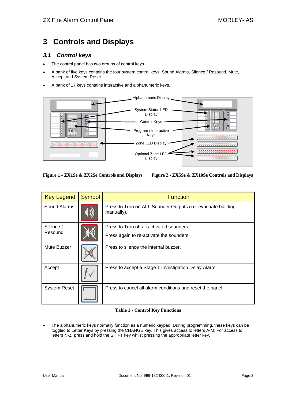# <span id="page-5-0"></span>**3 Controls and Displays**

#### *3.1 Control keys*

- The control panel has two groups of control keys.
- A bank of five keys contains the four system control keys: Sound Alarms, Silence / Resound, Mute, Accept and System Reset.
- A bank of 17 keys contains interactive and alphanumeric keys.



**Figure 1 - ZX1Se & ZX2Se Controls and Displays Figure 2 - ZX5Se & ZX10Se Controls and Displays** 

| <b>Key Legend</b>   | <b>Symbol</b> | <b>Function</b>                                                            |
|---------------------|---------------|----------------------------------------------------------------------------|
| Sound Alarms        |               | Press to Turn on ALL Sounder Outputs (i.e. evacuate building<br>manually). |
| Silence /           |               | Press to Turn off all activated sounders.                                  |
| Resound             |               | Press again to re-activate the sounders.                                   |
| Mute Buzzer         |               | Press to silence the internal buzzer.                                      |
| Accept              |               | Press to accept a Stage 1 Investigation Delay Alarm                        |
| <b>System Reset</b> |               | Press to cancel all alarm conditions and reset the panel.                  |

#### **Table 1 - Control Key Functions**

• The alphanumeric keys normally function as a numeric keypad. During programming, these keys can be toggled to Letter Keys by pressing the CHANGE key. This gives access to letters A-M. For access to letters N-Z, press and hold the SHIFT key whilst pressing the appropriate letter key.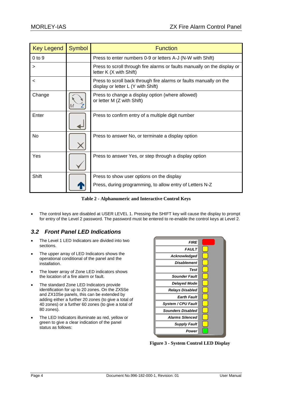<span id="page-6-0"></span>

| <b>Key Legend</b> | <b>Symbol</b> | <b>Function</b>                                                                                          |
|-------------------|---------------|----------------------------------------------------------------------------------------------------------|
| $0$ to $9$        |               | Press to enter numbers 0-9 or letters A-J (N-W with Shift)                                               |
| ⋗                 |               | Press to scroll through fire alarms or faults manually on the display or<br>letter K (X with Shift)      |
| <                 |               | Press to scroll back through fire alarms or faults manually on the<br>display or letter L (Y with Shift) |
| Change            |               | Press to change a display option (where allowed)<br>or letter M (Z with Shift)                           |
| Enter             |               | Press to confirm entry of a multiple digit number                                                        |
| No                |               | Press to answer No, or terminate a display option                                                        |
| Yes               |               | Press to answer Yes, or step through a display option                                                    |
| Shift             |               | Press to show user options on the display<br>Press, during programming, to allow entry of Letters N-Z    |

**Table 2 - Alphanumeric and Interactive Control Keys** 

• The control keys are disabled at USER LEVEL 1. Pressing the SHIFT key will cause the display to prompt for entry of the Level 2 password. The password must be entered to re-enable the control keys at Level 2.

# *3.2 Front Panel LED Indications*

- The Level 1 LED Indicators are divided into two sections.
- The upper array of LED Indicators shows the operational conditional of the panel and the installation.
- The lower array of Zone LED indicators shows the location of a fire alarm or fault.
- The standard Zone LED Indicators provide identification for up to 20 zones. On the ZX5Se and ZX10Se panels, this can be extended by adding either a further 20 zones (to give a total of 40 zones) or a further 60 zones (to give a total of 80 zones).
- The LED Indicators illuminate as red, yellow or green to give a clear indication of the panel status as follows:



**Figure 3 - System Control LED Display**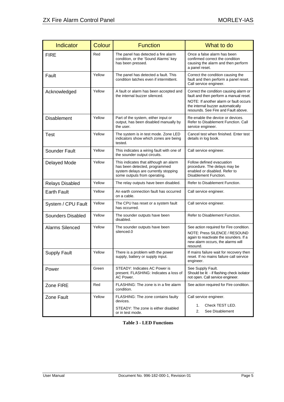<span id="page-7-0"></span>

| Indicator              | Colour | <b>Function</b>                                                                                                                                | What to do                                                                                                                                                                                             |
|------------------------|--------|------------------------------------------------------------------------------------------------------------------------------------------------|--------------------------------------------------------------------------------------------------------------------------------------------------------------------------------------------------------|
| <b>FIRE</b>            | Red    | The panel has detected a fire alarm<br>condition, or the 'Sound Alarms' key<br>has been pressed.                                               | Once a false alarm has been<br>confirmed correct the condition<br>causing the alarm and then perform<br>a panel reset.                                                                                 |
| Fault                  | Yellow | The panel has detected a fault. This<br>condition latches even if intermittent.                                                                | Correct the condition causing the<br>fault and then perform a panel reset.<br>Call service engineer.                                                                                                   |
| Acknowledged           | Yellow | A fault or alarm has been accepted and<br>the internal buzzer silenced.                                                                        | Correct the condition causing alarm or<br>fault and then perform a manual reset.<br>NOTE: If another alarm or fault occurs<br>the internal buzzer automatically<br>resounds. See Fire and Fault above. |
| Disablement            | Yellow | Part of the system, either input or<br>output, has been disabled manually by<br>the user.                                                      | Re-enable the device or devices.<br>Refer to Disablement Function. Call<br>service engineer.                                                                                                           |
| <b>Test</b>            | Yellow | The system is in test mode. Zone LED<br>indicators show which zones are being<br>tested.                                                       | Cancel test when finished. Enter test<br>details in log book.                                                                                                                                          |
| Sounder Fault          | Yellow | This indicates a wiring fault with one of<br>the sounder output circuits.                                                                      | Call service engineer.                                                                                                                                                                                 |
| Delayed Mode           | Yellow | This indicates that although an alarm<br>has been detected, programmed<br>system delays are currently stopping<br>some outputs from operating. | Follow defined evacuation<br>procedure. The delays may be<br>enabled or disabled. Refer to<br>Disablement Function.                                                                                    |
| Relays Disabled        | Yellow | The relay outputs have been disabled.                                                                                                          | Refer to Disablement Function.                                                                                                                                                                         |
| <b>Earth Fault</b>     | Yellow | An earth connection fault has occurred<br>on a cable.                                                                                          | Call service engineer.                                                                                                                                                                                 |
| System / CPU Fault     | Yellow | The CPU has reset or a system fault<br>has occurred.                                                                                           | Call service engineer.                                                                                                                                                                                 |
| Sounders Disabled      | Yellow | The sounder outputs have been<br>disabled.                                                                                                     | Refer to Disablement Function.                                                                                                                                                                         |
| <b>Alarms Silenced</b> | Yellow | The sounder outputs have been<br>silenced.0                                                                                                    | See action required for Fire condition.<br>NOTE: Press SILENCE / RESOUND<br>again to reactivate the sounders. If a<br>new alarm occurs, the alarms will<br>resound.                                    |
| Supply Fault           | Yellow | There is a problem with the power<br>supply, battery or supply input.                                                                          | If mains failure wait for recovery then<br>reset. If no mains failure call service<br>engineer.                                                                                                        |
| Power                  | Green  | STEADY: Indicates AC Power is<br>present. FLASHING: Indicates a loss of<br>AC Power.                                                           | See Supply Fault.<br>Should be lit - if flashing check isolator<br>not open. Call service engineer.                                                                                                    |
| Zone FIRE              | Red    | FLASHING: The zone is in a fire alarm<br>condition.                                                                                            | See action required for Fire condition.                                                                                                                                                                |
| Zone Fault             | Yellow | FLASHING: The zone contains faulty<br>devices.<br>STEADY: The zone is either disabled<br>or in test mode.                                      | Call service engineer.<br>Check TEST LED.<br>1.<br>2.<br>See Disablement                                                                                                                               |

**Table 3 - LED Functions**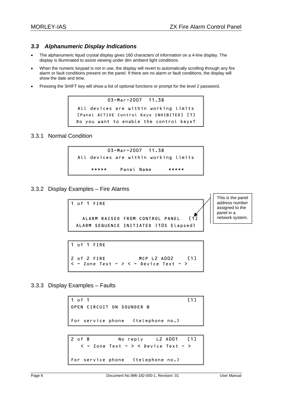## <span id="page-8-0"></span>*3.3 Alphanumeric Display Indications*

- The alphanumeric liquid crystal display gives 160 characters of information on a 4-line display. The display is illuminated to assist viewing under dim ambient light conditions.
- When the numeric keypad is not in use, the display will revert to automatically scrolling through any fire alarm or fault conditions present on the panel. If there are no alarm or fault conditions, the display will show the date and time.
- Pressing the SHIFT key will show a list of optional functions or prompt for the level 2 password.

```
03-Mar-2007 11.38 
All devices are within working limits 
[Panel ACTIVE Control Keys INHIBITED] [1]
Do you want to enable the control keys?
```
#### 3.3.1 Normal Condition



3.3.2 Display Examples – Fire Alarms

```
1 of 1 FIRE 
   ALARM RAISED FROM CONTROL PANEL [1]
 ALARM SEQUENCE INITIATED (10S Elapsed)
```
This is the panel address number assigned to the panel in a .<br>network system.

```
1 of 1 FIRE 
2 of 2 FIRE MCP L2 A002 [1] 
\langle - Zone Text - \rangle \langle - Device Text - \rangle
```
3.3.3 Display Examples – Faults

```
1 of 1 [1]
OPEN CIRCUIT ON SOUNDER B 
For service phone (telephone no.) 
2 of 8 No reply L2 A001 [1] 
  \langle -2 Zone Text - \rangle \langle Device Text - \rangleFor service phone (telephone no.)
```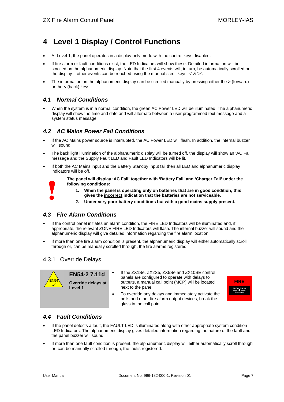# <span id="page-9-0"></span>**4 Level 1 Display / Control Functions**

- At Level 1, the panel operates in a display only mode with the control keys disabled.
- If fire alarm or fault conditions exist, the LED Indicators will show these. Detailed information will be scrolled on the alphanumeric display. Note that the first 4 events will, in turn, be automatically scrolled on the display – other events can be reached using the manual scroll keys  $\leq 8 \leq$ .
- The information on the alphanumeric display can be scrolled manually by pressing either the **>** (forward) or the **<** (back) keys.

#### *4.1 Normal Conditions*

• When the system is in a normal condition, the green AC Power LED will be illuminated. The alphanumeric display will show the time and date and will alternate between a user programmed text message and a system status message.

#### *4.2 AC Mains Power Fail Conditions*

- If the AC Mains power source is interrupted, the AC Power LED will flash. In addition, the internal buzzer will sound.
- The back light illumination of the alphanumeric display will be turned off, the display will show an 'AC Fail' message and the Supply Fault LED and Fault LED Indicators will be lit.
- If both the AC Mains input and the Battery Standby Input fail then all LED and alphanumeric display indicators will be off.



**The panel will display 'AC Fail' together with 'Battery Fail' and 'Charger Fail' under the following conditions:** 

- **1. When the panel is operating only on batteries that are in good condition; this gives the incorrect indication that the batteries are not serviceable.**
- **2. Under very poor battery conditions but with a good mains supply present.**

#### *4.3 Fire Alarm Conditions*

- If the control panel initiates an alarm condition, the FIRE LED Indicators will be illuminated and, if appropriate, the relevant ZONE FIRE LED Indicators will flash. The internal buzzer will sound and the alphanumeric display will give detailed information regarding the fire alarm location.
- If more than one fire alarm condition is present, the alphanumeric display will either automatically scroll through or, can be manually scrolled through, the fire alarms registered.

#### 4.3.1 Override Delays



**EN54-2 7.11d Override delays at Level 1** 

If the ZX1Se, ZX2Se, ZX5Se and ZX10SE control panels are configured to operate with delays to outputs, a manual call point (MCP) will be located next to the panel.



• To override any delays and immediately activate the bells and other fire alarm output devices, break the glass in the call point.

# *4.4 Fault Conditions*

- If the panel detects a fault, the FAULT LED is illuminated along with other appropriate system condition LED Indicators. The alphanumeric display gives detailed information regarding the nature of the fault and the panel buzzer will sound.
- If more than one fault condition is present, the alphanumeric display will either automatically scroll through or, can be manually scrolled through, the faults registered.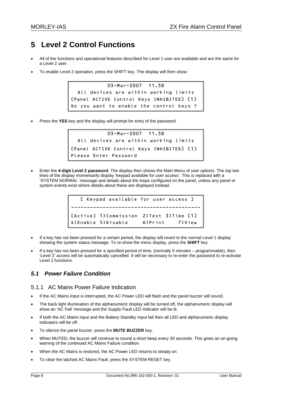# <span id="page-10-0"></span>**5 Level 2 Control Functions**

- All of the functions and operational features described for Level 1 user are available and are the same for a Level 2 user.
- To enable Level 2 operation, press the SHIFT key. The display will then show:

03-Mar-2007 11.38 All devices are within working limits [Panel ACTIVE Control Keys INHIBITED] [1] Do you want to enable the control keys ?

• Press the **YES** key and the display will prompt for entry of the password.

```
03-Mar-2007 11.38 
  All devices are within working limits 
[Panel ACTIVE Control Keys INHIBITED] [1] 
Please Enter Password
```
• Enter the **4-digit Level 2 password**. The display then shows the Main Menu of user options. The top two lines of the display momentarily display 'keypad available for user access'. This is replaced with a 'SYSTEM NORMAL' message and details about the loops configured on the panel, unless any panel or system events exist where details about these are displayed instead.

| [ Keypad available for user access ]       |                  |
|--------------------------------------------|------------------|
|                                            |                  |
| [Active] 1) Commission 2) Test 3) Time [1] |                  |
| 4) Enable 5) Disable                       | 6) Print 7) View |

- If a key has not been pressed for a certain period, the display will revert to the normal Level 1 display showing the system status message. To re-show the menu display, press the **SHIFT** key.
- If a key has not been pressed for a specified period of time, (normally 5 minutes programmable), then 'Level 2' access will be automatically cancelled. It will be necessary to re-enter the password to re-activate Level 2 functions.

# *5.1 Power Failure Condition*

#### 5.1.1 AC Mains Power Failure Indication

- If the AC Mains input is interrupted, the AC Power LED will flash and the panel buzzer will sound.
- The back light illumination of the alphanumeric display will be turned off, the alphanumeric display will show an 'AC Fail' message and the Supply Fault LED Indicator will be lit.
- If both the AC Mains input and the Battery Standby Input fail then all LED and alphanumeric display indicators will be off.
- To silence the panel buzzer, press the **MUTE BUZZER** key.
- When MUTED, the buzzer will continue to sound a short beep every 30 seconds. This gives an on-going warning of the continued AC Mains Failure condition.
- When the AC Mains is restored, the AC Power LED returns to steady on.
- To clear the latched AC Mains Fault, press the SYSTEM RESET key.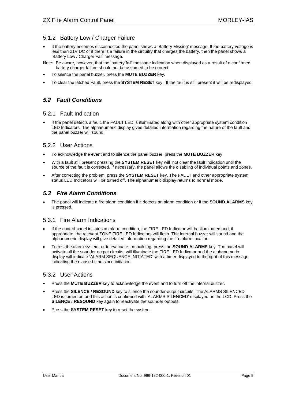#### <span id="page-11-0"></span>5.1.2 Battery Low / Charger Failure

- If the battery becomes disconnected the panel shows a 'Battery Missing' message. If the battery voltage is less than 21V DC or if there is a failure in the circuitry that charges the battery, then the panel shows a 'Battery Low / Charger Fail' message.
- Note: Be aware, however, that the 'battery fail' message indication when displayed as a result of a confirmed battery charger failure should not be assumed to be correct.
- To silence the panel buzzer, press the **MUTE BUZZER** key.
- To clear the latched Fault, press the **SYSTEM RESET** key. If the fault is still present it will be redisplayed.

### *5.2 Fault Conditions*

#### 5.2.1 Fault Indication

If the panel detects a fault, the FAULT LED is illuminated along with other appropriate system condition LED Indicators. The alphanumeric display gives detailed information regarding the nature of the fault and the panel buzzer will sound.

#### 5.2.2 User Actions

- To acknowledge the event and to silence the panel buzzer, press the **MUTE BUZZER** key.
- With a fault still present pressing the **SYSTEM RESET** key will not clear the fault indication until the source of the fault is corrected. If necessary, the panel allows the disabling of individual points and zones.
- After correcting the problem, press the **SYSTEM RESET** key. The FAULT and other appropriate system status LED Indicators will be turned off. The alphanumeric display returns to normal mode.

#### *5.3 Fire Alarm Conditions*

• The panel will indicate a fire alarm condition if it detects an alarm condition or if the **SOUND ALARMS** key is pressed.

#### 5.3.1 Fire Alarm Indications

- If the control panel initiates an alarm condition, the FIRE LED Indicator will be illuminated and, if appropriate, the relevant ZONE FIRE LED Indicators will flash. The internal buzzer will sound and the alphanumeric display will give detailed information regarding the fire alarm location.
- To test the alarm system, or to evacuate the building, press the **SOUND ALARMS** key. The panel will activate all the sounder output circuits, will illuminate the FIRE LED Indicator and the alphanumeric display will indicate 'ALARM SEQUENCE INITIATED' with a timer displayed to the right of this message indicating the elapsed time since initiation.

#### 5.3.2 User Actions

- Press the **MUTE BUZZER** key to acknowledge the event and to turn off the internal buzzer.
- Press the **SILENCE / RESOUND** key to silence the sounder output circuits. The ALARMS SILENCED LED is turned on and this action is confirmed with 'ALARMS SILENCED' displayed on the LCD. Press the **SILENCE / RESOUND** key again to reactivate the sounder outputs.
- Press the **SYSTEM RESET** key to reset the system.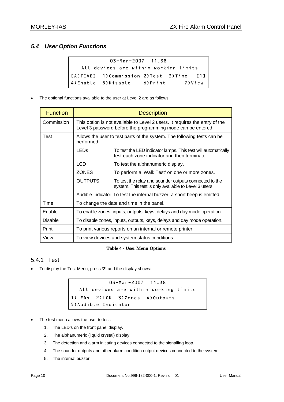# <span id="page-12-0"></span>*5.4 User Option Functions*

```
03-Mar-2007 11.38 
   All devices are within working limits 
[ACTIVE] 1)Commission 2)Test 3)Time [1] 
4)Enable 5)Disable 6)Print 7)View
```
The optional functions available to the user at Level 2 are as follows:

| <b>Function</b>                                                     | <b>Description</b>                                                                                                                          |                                                                                                                 |  |
|---------------------------------------------------------------------|---------------------------------------------------------------------------------------------------------------------------------------------|-----------------------------------------------------------------------------------------------------------------|--|
| Commission                                                          | This option is not available to Level 2 users. It requires the entry of the<br>Level 3 password before the programming mode can be entered. |                                                                                                                 |  |
| Test<br>performed:                                                  |                                                                                                                                             | Allows the user to test parts of the system. The following tests can be                                         |  |
|                                                                     | <b>LEDs</b>                                                                                                                                 | To test the LED indicator lamps. This test will automatically<br>test each zone indicator and then terminate.   |  |
|                                                                     | <b>LCD</b>                                                                                                                                  | To test the alphanumeric display.                                                                               |  |
|                                                                     | ZONES                                                                                                                                       | To perform a 'Walk Test' on one or more zones.                                                                  |  |
|                                                                     | <b>OUTPUTS</b>                                                                                                                              | To test the relay and sounder outputs connected to the<br>system. This test is only available to Level 3 users. |  |
|                                                                     |                                                                                                                                             | Audible Indicator To test the internal buzzer; a short beep is emitted.                                         |  |
| Time                                                                | To change the date and time in the panel.                                                                                                   |                                                                                                                 |  |
| Enable                                                              |                                                                                                                                             | To enable zones, inputs, outputs, keys, delays and day mode operation.                                          |  |
| <b>Disable</b>                                                      |                                                                                                                                             | To disable zones, inputs, outputs, keys, delays and day mode operation.                                         |  |
| Print<br>To print various reports on an internal or remote printer. |                                                                                                                                             |                                                                                                                 |  |
| View                                                                | To view devices and system status conditions.                                                                                               |                                                                                                                 |  |

#### **Table 4 - User Menu Options**

#### 5.4.1 Test

• To display the Test Menu, press **'2'** and the display shows:

03-Mar-2007 11.38 All devices are within working limits 1)LEDs 2)LCD 3)Zones 4)Outputs 5)Audible Indicator

- The test menu allows the user to test:
	- 1. The LED's on the front panel display.
	- 2. The alphanumeric (liquid crystal) display.
	- 3. The detection and alarm initiating devices connected to the signalling loop.
	- 4. The sounder outputs and other alarm condition output devices connected to the system.
	- 5. The internal buzzer.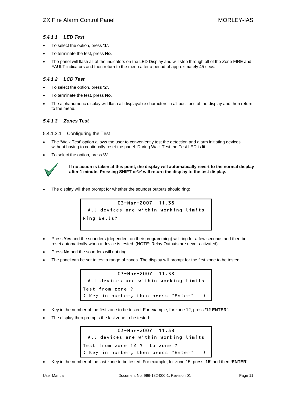#### <span id="page-13-0"></span>*5.4.1.1 LED Test*

- To select the option, press **'1'**.
- To terminate the test, press **No**.
- The panel will flash all of the indicators on the LED Display and will step through all of the Zone FIRE and FAULT indicators and then return to the menu after a period of approximately 45 secs.

#### *5.4.1.2 LCD Test*

- To select the option, press **'2'**.
- To terminate the test, press **No**.
- The alphanumeric display will flash all displayable characters in all positions of the display and then return to the menu.

#### *5.4.1.3 Zones Test*

5.4.1.3.1 Configuring the Test

- The 'Walk Test' option allows the user to conveniently test the detection and alarm initiating devices without having to continually reset the panel. During Walk Test the Test LED is lit.
- To select the option, press **'3'**.



**If no action is taken at this point, the display will automatically revert to the normal display after 1 minute. Pressing SHIFT or'>' will return the display to the test display.** 

The display will then prompt for whether the sounder outputs should ring:

03-Mar-2007 11.38 All devices are within working limits Ring Bells?

- Press **Yes** and the sounders (dependent on their programming) will ring for a few seconds and then be reset automatically when a device is tested. (NOTE: Relay Outputs are never activated).
- Press **No** and the sounders will not ring.
- The panel can be set to test a range of zones. The display will prompt for the first zone to be tested:



- Key in the number of the first zone to be tested. For example, for zone 12, press **'12 ENTER'**.
- The display then prompts the last zone to be tested:

```
03-Mar-2007 11.38 
 All devices are within working limits 
Test from zone 12 ? to zone ? 
( Key in number, then press "Enter" )
```
• Key in the number of the last zone to be tested. For example, for zone 15, press '**15'** and then **'ENTER'**.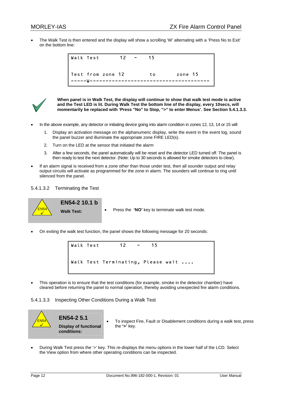<span id="page-14-0"></span>• The Walk Test is then entered and the display will show a scrolling 'W' alternating with a 'Press No to Exit' on the bottom line:





**When panel is in Walk Test, the display will continue to show that walk test mode is active and the Test LED is lit. During Walk Test the bottom line of the display, every 10secs, will**  momentarily be replaced with 'Press "No" to Stop, ">" to enter Menus'. See Section 5.4.1.3.3.

- In the above example, any detector or initiating device going into alarm condition in zones 12, 13, 14 or 15 will:
	- 1. Display an activation message on the alphanumeric display, write the event in the event log, sound the panel buzzer and illuminate the appropriate zone FIRE LED(s).
	- 2. Turn on the LED at the sensor that initiated the alarm
	- 3. After a few seconds, the panel automatically will be reset and the detector LED turned off. The panel is then ready to test the next detector. (Note: Up to 30 seconds is allowed for smoke detectors to clear).
- If an alarm signal is received from a zone other than those under test, then all sounder output and relay output circuits will activate as programmed for the zone in alarm. The sounders will continue to ring until silenced from the panel.
- 5.4.1.3.2 Terminating the Test



**EN54-2 10.1 b** 

- **Walk Test:** Press the **'NO'** key to terminate walk test mode.
- On exiting the walk test function, the panel shows the following message for 20 seconds:

Walk Test 12 - 15 Walk Test Terminating, Please wait ....

• This operation is to ensure that the test conditions (for example, smoke in the detector chamber) have cleared before returning the panel to normal operation, thereby avoiding unexpected fire alarm conditions.





**EN54-2 5.1 Display of functional conditions:** 

- To inspect Fire, Fault or Disablement conditions during a walk test, press the **'>'** key.
- During Walk Test press the '>' key. This re-displays the menu options in the lower half of the LCD. Select the View option from where other operating conditions can be inspected.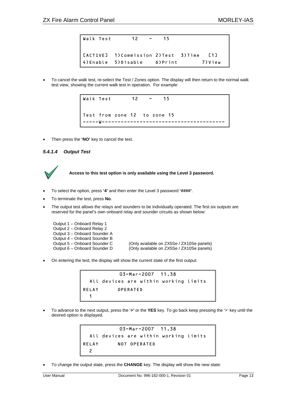<span id="page-15-0"></span>Walk Test 12 - 15 [ACTIVE] 1)Commission 2)Test 3)Time [1] 4)Enable 5)Disable 6)Print 7)View

• To cancel the walk test, re-select the Test / Zones option. The display will then return to the normal walk test view, showing the current walk test in operation. For example:



• Then press the **'NO'** key to cancel the test.

#### *5.4.1.4 Output Test*



#### **Access to this test option is only available using the Level 3 password.**

- To select the option, press **'4'** and then enter the Level 3 password **'####'**.
- To terminate the test, press **No**.
- The output test allows the relays and sounders to be individually operated. The first six outputs are reserved for the panel's own onboard relay and sounder circuits as shown below:

Output 1 – Onboard Relay 1 Output 2 – Onboard Relay 2 Output 3 – Onboard Sounder A Output 4 – Onboard Sounder B<br>Output 5 – Onboard Sounder C Output 5 – Onboard Sounder C (Only available on ZX5Se / ZX10Se panels)<br>Output 6 – Onboard Sounder D (Only available on ZX5Se / ZX10Se panels) (Only available on ZX5Se / ZX10Se panels)

• On entering the test, the display will show the current state of the first output:



• To advance to the next output, press the '**>'** or the **YES** key. To go back keep pressing the '>' key until the desired option is displayed.

```
03-Mar-2007 11.38 
  All devices are within working limits 
RELAY NOT OPERATED 
  2
```
• To change the output state, press the **CHANGE** key. The display will show the new state: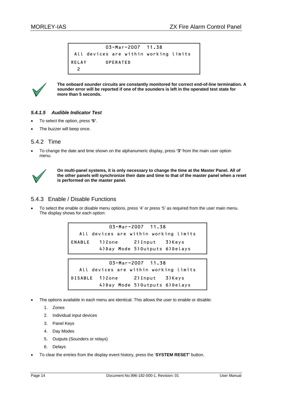```
03-Mar-2007 11.38 
All devices are within working limits 
RELAY OPERATED 
  2
```


**The onboard sounder circuits are constantly monitored for correct end-of-line termination. A sounder error will be reported if one of the sounders is left in the operated test state for more than 5 seconds.** 

#### *5.4.1.5 Audible Indicator Test*

- To select the option, press **'5'**.
- The buzzer will beep once.

#### 5.4.2 Time

• To change the date and time shown on the alphanumeric display, press **'3'** from the main user option menu.



**On multi-panel systems, it is only necessary to change the time at the Master Panel. All of the other panels will synchronize their date and time to that of the master panel when a reset is performed on the master panel.** 

#### 5.4.3 Enable / Disable Functions

• To select the enable or disable menu options, press '4' or press '5' as required from the user main menu. The display shows for each option:

> 03-Mar-2007 11.38 All devices are within working limits ENABLE 1)Zone 2)Input 3)Keys 4)Day Mode 5)Outputs 6)Delays

03-Mar-2007 11.38 All devices are within working limits DISABLE 1)Zone 2)Input 3)Keys 4)Day Mode 5)Outputs 6)Delays

- The options available in each menu are identical. This allows the user to enable or disable:
	- 1. Zones
	- 2. Individual input devices
	- 3. Panel Keys
	- 4. Day Modes
	- 5. Outputs (Sounders or relays)
	- 6. Delays
- To clear the entries from the display event history, press the '**SYSTEM RESET'** button.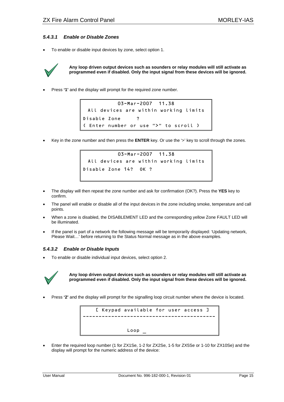#### <span id="page-17-0"></span>*5.4.3.1 Enable or Disable Zones*

• To enable or disable input devices by zone, select option 1.



**Any loop driven output devices such as sounders or relay modules will still activate as programmed even if disabled. Only the input signal from these devices will be ignored.** 

• Press **'1'** and the display will prompt for the required zone number.

```
03-Mar-2007 11.38 
 All devices are within working limits 
Disable Zone ? 
( Enter number or use ">" to scroll )
```
• Key in the zone number and then press the **ENTER** key. Or use the '>' key to scroll through the zones.

```
03-Mar-2007 11.38 
 All devices are within working limits 
Disable Zone 14? OK ?
```
- The display will then repeat the zone number and ask for confirmation (OK?). Press the **YES** key to confirm.
- The panel will enable or disable all of the input devices in the zone including smoke, temperature and call points.
- When a zone is disabled, the DISABLEMENT LED and the corresponding yellow Zone FAULT LED will be illuminated.
- If the panel is part of a network the following message will be temporarily displayed: 'Updating network, Please Wait…' before returning to the Status Normal message as in the above examples.

#### *5.4.3.2 Enable or Disable Inputs*

• To enable or disable individual input devices, select option 2.



**Any loop driven output devices such as sounders or relay modules will still activate as programmed even if disabled. Only the input signal from these devices will be ignored.** 

• Press **'2'** and the display will prompt for the signalling loop circuit number where the device is located.



• Enter the required loop number (1 for ZX1Se, 1-2 for ZX2Se, 1-5 for ZX5Se or 1-10 for ZX10Se) and the display will prompt for the numeric address of the device: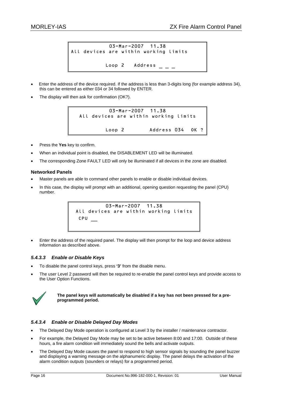```
03-Mar-2007 11.38 
All devices are within working limits 
          Loop 2 Address -
```
- Enter the address of the device required. If the address is less than 3-digits long (for example address 34), this can be entered as either 034 or 34 followed by ENTER.
- The display will then ask for confirmation (OK?).

03-Mar-2007 11.38 All devices are within working limits Loop 2 Address 034 OK ?

- Press the **Yes** key to confirm.
- When an individual point is disabled, the DISABLEMENT LED will be illuminated.
- The corresponding Zone FAULT LED will only be illuminated if all devices in the zone are disabled.

#### **Networked Panels**

- Master panels are able to command other panels to enable or disable individual devices.
- In this case, the display will prompt with an additional, opening question requesting the panel (CPU) number.

03-Mar-2007 11.38 All devices are within working limits CPU \_\_

• Enter the address of the required panel. The display will then prompt for the loop and device address information as described above.

#### *5.4.3.3 Enable or Disable Keys*

- To disable the panel control keys, press **'3'** from the disable menu.
- The user Level 2 password will then be required to re-enable the panel control keys and provide access to the User Option Functions.



**The panel keys will automatically be disabled if a key has not been pressed for a preprogrammed period.** 

#### *5.4.3.4 Enable or Disable Delayed Day Modes*

- The Delayed Day Mode operation is configured at Level 3 by the installer / maintenance contractor.
- For example, the Delayed Day Mode may be set to be active between 8:00 and 17:00. Outside of these hours, a fire alarm condition will immediately sound the bells and activate outputs.
- The Delayed Day Mode causes the panel to respond to high sensor signals by sounding the panel buzzer and displaying a warning message on the alphanumeric display. The panel delays the activation of the alarm condition outputs (sounders or relays) for a programmed period.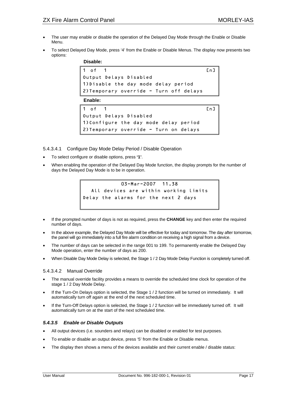- <span id="page-19-0"></span>• The user may enable or disable the operation of the Delayed Day Mode through the Enable or Disable Menu.
- To select Delayed Day Mode, press '4' from the Enable or Disable Menus. The display now presents two options:

| Disable: |
|----------|
|----------|

```
1 of 1 Cn]
Output Delays Disabled 
1)Disable the day mode delay period 
2)Temporary override - Turn off delays
```
 **Enable:** 

```
1 of 1 Cn]
Output Delays Disabled 
1)Configure the day mode delay period 
2)Temporary override - Turn on delays
```
5.4.3.4.1 Configure Day Mode Delay Period / Disable Operation

- To select configure or disable options, press **'1'**.
- When enabling the operation of the Delayed Day Mode function, the display prompts for the number of days the Delayed Day Mode is to be in operation.



- If the prompted number of days is not as required, press the **CHANGE** key and then enter the required number of days.
- In the above example, the Delayed Day Mode will be effective for today and tomorrow. The day after tomorrow, the panel will go immediately into a full fire alarm condition on receiving a high signal from a device.
- The number of days can be selected in the range 001 to 199. To permanently enable the Delayed Day Mode operation, enter the number of days as 200.
- When Disable Day Mode Delay is selected, the Stage 1 / 2 Day Mode Delay Function is completely turned off.

#### 5.4.3.4.2 Manual Override

- The manual override facility provides a means to override the scheduled time clock for operation of the stage 1 / 2 Day Mode Delay.
- If the Turn-On Delays option is selected, the Stage 1 / 2 function will be turned on immediately. It will automatically turn off again at the end of the next scheduled time.
- If the Turn-Off Delays option is selected, the Stage 1 / 2 function will be immediately turned off. It will automatically turn on at the start of the next scheduled time.

#### *5.4.3.5 Enable or Disable Outputs*

- All output devices (i.e. sounders and relays) can be disabled or enabled for test purposes.
- To enable or disable an output device, press '5' from the Enable or Disable menus.
- The display then shows a menu of the devices available and their current enable / disable status: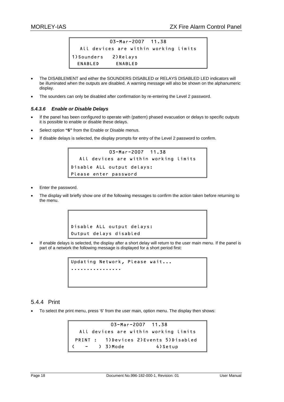```
03-Mar-2007 11.38 
  All devices are within working limits 
1)Sounders 2)Relays 
  ENABLED ENABLED
```
- The DISABLEMENT and either the SOUNDERS DISABLED or RELAYS DISABLED LED indicators will be illuminated when the outputs are disabled. A warning message will also be shown on the alphanumeric display.
- The sounders can only be disabled after confirmation by re-entering the Level 2 password.

#### *5.4.3.6 Enable or Disable Delays*

- If the panel has been configured to operate with (pattern) phased evacuation or delays to specific outputs it is possible to enable or disable these delays.
- Select option **"6"** from the Enable or Disable menus.
- If disable delays is selected, the display prompts for entry of the Level 2 password to confirm.

```
03-Mar-2007 11.38 
  All devices are within working limits 
Disable ALL output delays: 
Please enter password
```
- Enter the password.
- The display will briefly show one of the following messages to confirm the action taken before returning to the menu.

```
Disable ALL output delays: 
Output delays disabled
```
• If enable delays is selected, the display after a short delay will return to the user main menu. If the panel is part of a network the following message is displayed for a short period first:

```
Updating Network, Please wait... 
  ................
```
#### 5.4.4 Print

• To select the print menu, press '6' from the user main, option menu. The display then shows:

```
 03-Mar-2007 11.38 
  All devices are within working limits 
 PRINT : 1)Devices 2)Events 5)Disabled 
( - ) 3) Mode 4) Setup
```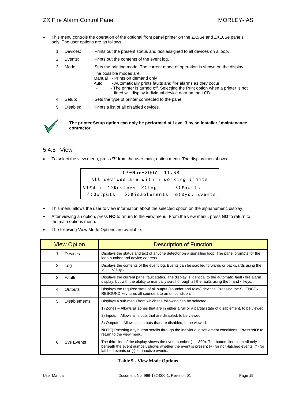- <span id="page-21-0"></span>• This menu controls the operation of the optional front panel printer on the ZX5Se and ZX10Se panels only. The user options are as follows:
	- 1. Devices: Prints out the present status and text assigned to all devices on a loop.
	- 2. Events: Prints out the contents of the event log.
	- 3. Mode: Sets the printing mode. The current mode of operation is shown on the display. The possible modes are:
		- Manual Prints on demand only
		- Auto Automatically prints faults and fire alarms as they occur
			- The printer is turned off. Selecting the Print option when a printer is not fitted will display individual device data on the LCD.
	- 4. Setup: Sets the type of printer connected to the panel.
	- 5. Disabled: Prints a list of all disabled devices.



**The printer Setup option can only be performed at Level 3 by an installer / maintenance contractor.** 

#### 5.4.5 View

• To select the view menu, press **'7'** from the user main, option menu. The display then shows:



- This menu allows the user to view information about the selected option on the alphanumeric display.
- After viewing an option, press **NO** to return to the view menu. From the view menu, press **NO** to return to the main options menu.
- The following View Mode Options are available:

| <b>View Option</b>        | <b>Description of Function</b>                                                                                                                                                                                                                        |
|---------------------------|-------------------------------------------------------------------------------------------------------------------------------------------------------------------------------------------------------------------------------------------------------|
| Devices<br>1.             | Displays the status and text of anyone detector on a signalling loop. The panel prompts for the<br>loop number and device address.                                                                                                                    |
| 2.<br>Log                 | Displays the contents of the event log. Events can be scrolled forwards or backwards using the<br>'>' or '<' keys.                                                                                                                                    |
| 3.<br>Faults              | Displays the current panel fault status. The display is identical to the automatic fault / fire alarm<br>display, but with the ability to manually scroll through all the faults using the $>$ and $<$ keys.                                          |
| 4.<br>Outputs             | Displays the required state of all output (sounder and relay) devices. Pressing the SILENCE /<br>RESOUND key turns all sounders to an off condition.                                                                                                  |
| 5.<br><b>Disablements</b> | Displays a sub menu from which the following can be selected                                                                                                                                                                                          |
|                           | 1) Zones – Allows all zones that are in either a full or a partial state of disablement, to be viewed.                                                                                                                                                |
|                           | 2) Inputs – Allows all inputs that are disabled, to be viewed.                                                                                                                                                                                        |
|                           | 3) Outputs – Allows all outputs that are disabled, to be viewed.                                                                                                                                                                                      |
|                           | NOTE) Pressing any button scrolls through the individual disablement conditions. Press 'NO' to<br>return to the view menu.                                                                                                                            |
| 6.<br>Sys Events          | The third line of the display shows the event number $(1 - 800)$ . The bottom line, immediately<br>beneath the event number, shows whether the event is present $(+)$ for non-latched events, $(*)$ for<br>latched events or (-) for inactive events. |

**Table 5 - View Mode Options**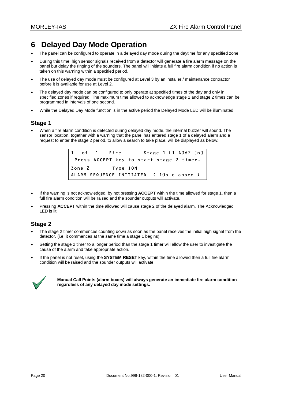# <span id="page-22-0"></span>**6 Delayed Day Mode Operation**

- The panel can be configured to operate in a delayed day mode during the daytime for any specified zone.
- During this time, high sensor signals received from a detector will generate a fire alarm message on the panel but delay the ringing of the sounders. The panel will initiate a full fire alarm condition if no action is taken on this warning within a specified period.
- The use of delayed day mode must be configured at Level 3 by an installer / maintenance contractor before it is available for use at Level 2.
- The delayed day mode can be configured to only operate at specified times of the day and only in specified zones if required. The maximum time allowed to acknowledge stage 1 and stage 2 times can be programmed in intervals of one second.
- While the Delayed Day Mode function is in the active period the Delayed Mode LED will be illuminated.

## **Stage 1**

• When a fire alarm condition is detected during delayed day mode, the internal buzzer will sound. The sensor location, together with a warning that the panel has entered stage 1 of a delayed alarm and a request to enter the stage 2 period, to allow a search to take place, will be displayed as below:

> 1 of 1 Fire Stage 1 L1 A067 [n] Press ACCEPT key to start stage 2 timer. Zone 2 Type ION ALARM SEQUENCE INITIATED ( 10s elapsed )

- If the warning is not acknowledged, by not pressing **ACCEPT** within the time allowed for stage 1, then a full fire alarm condition will be raised and the sounder outputs will activate.
- Pressing **ACCEPT** within the time allowed will cause stage 2 of the delayed alarm. The Acknowledged LED is lit.

## **Stage 2**

- The stage 2 timer commences counting down as soon as the panel receives the initial high signal from the detector. (i.e. it commences at the same time a stage 1 begins).
- Setting the stage 2 timer to a longer period than the stage 1 timer will allow the user to investigate the cause of the alarm and take appropriate action.
- If the panel is not reset, using the **SYSTEM RESET** key, within the time allowed then a full fire alarm condition will be raised and the sounder outputs will activate.



**Manual Call Points (alarm boxes) will always generate an immediate fire alarm condition regardless of any delayed day mode settings.**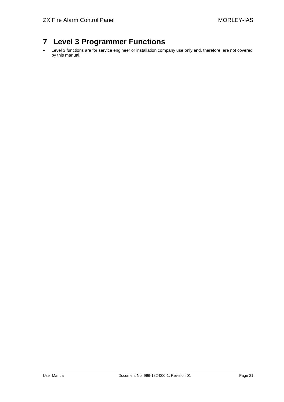# <span id="page-23-0"></span>**7 Level 3 Programmer Functions**

• Level 3 functions are for service engineer or installation company use only and, therefore, are not covered by this manual.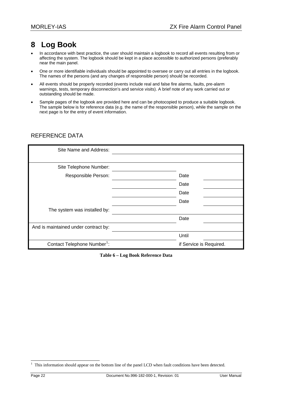# <span id="page-24-0"></span>**8 Log Book**

- In accordance with best practice, the user should maintain a logbook to record all events resulting from or affecting the system. The logbook should be kept in a place accessible to authorized persons (preferably near the main panel.
- One or more identifiable individuals should be appointed to oversee or carry out all entries in the logbook. The names of the persons (and any changes of responsible person) should be recorded.
- All events should be properly recorded (events include real and false fire alarms, faults, pre-alarm warnings, tests, temporary disconnection's and service visits). A brief note of any work carried out or outstanding should be made.
- Sample pages of the logbook are provided here and can be photocopied to produce a suitable logbook. The sample below is for reference data (e.g. the name of the responsible person), while the sample on the next page is for the entry of event information.

## REFERENCE DATA

| Site Name and Address:                  |                         |
|-----------------------------------------|-------------------------|
|                                         |                         |
| Site Telephone Number:                  |                         |
| Responsible Person:                     | Date                    |
|                                         | Date                    |
|                                         | Date                    |
|                                         | Date                    |
| The system was installed by:            |                         |
|                                         | Date                    |
| And is maintained under contract by:    |                         |
|                                         | Until                   |
| Contact Telephone Number <sup>1</sup> : | if Service is Required. |

**Table 6 – Log Book Reference Data** 

l

 $1$  This information should appear on the bottom line of the panel LCD when fault conditions have been detected.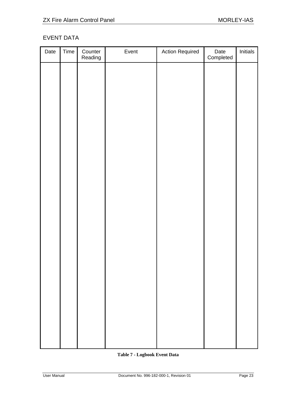# <span id="page-25-0"></span>EVENT DATA

| Date | Time | Counter<br>Reading | Event | <b>Action Required</b> | Date<br>Completed | Initials |
|------|------|--------------------|-------|------------------------|-------------------|----------|
|      |      |                    |       |                        |                   |          |
|      |      |                    |       |                        |                   |          |
|      |      |                    |       |                        |                   |          |
|      |      |                    |       |                        |                   |          |
|      |      |                    |       |                        |                   |          |
|      |      |                    |       |                        |                   |          |
|      |      |                    |       |                        |                   |          |
|      |      |                    |       |                        |                   |          |
|      |      |                    |       |                        |                   |          |
|      |      |                    |       |                        |                   |          |
|      |      |                    |       |                        |                   |          |
|      |      |                    |       |                        |                   |          |
|      |      |                    |       |                        |                   |          |
|      |      |                    |       |                        |                   |          |
|      |      |                    |       |                        |                   |          |
|      |      |                    |       |                        |                   |          |
|      |      |                    |       |                        |                   |          |
|      |      |                    |       |                        |                   |          |
|      |      |                    |       |                        |                   |          |

## **Table 7 - Logbook Event Data**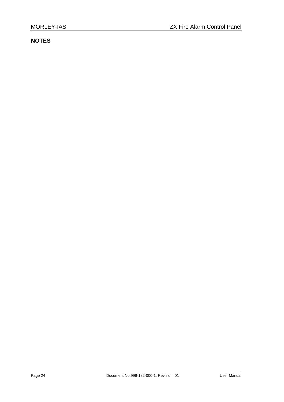# **NOTES**